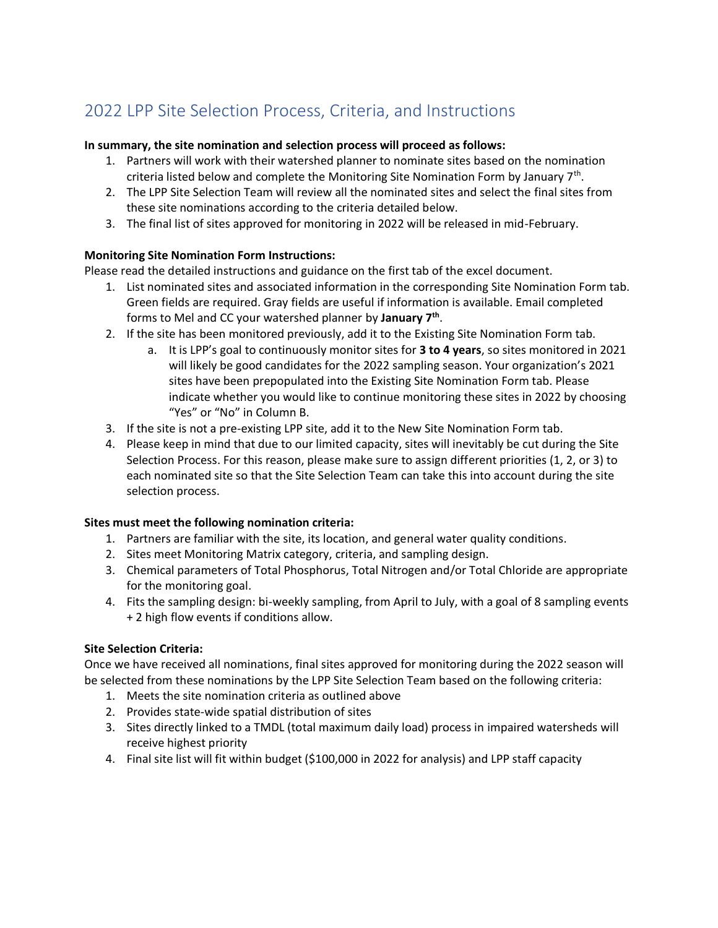# 2022 LPP Site Selection Process, Criteria, and Instructions

## **In summary, the site nomination and selection process will proceed as follows:**

- 1. Partners will work with their watershed planner to nominate sites based on the nomination criteria listed below and complete the Monitoring Site Nomination Form by January 7<sup>th</sup>.
- 2. The LPP Site Selection Team will review all the nominated sites and select the final sites from these site nominations according to the criteria detailed below.
- 3. The final list of sites approved for monitoring in 2022 will be released in mid-February.

# **Monitoring Site Nomination Form Instructions:**

Please read the detailed instructions and guidance on the first tab of the excel document.

- 1. List nominated sites and associated information in the corresponding Site Nomination Form tab. Green fields are required. Gray fields are useful if information is available. Email completed forms to Mel and CC your watershed planner by **January 7th** .
- 2. If the site has been monitored previously, add it to the Existing Site Nomination Form tab.
	- a. It is LPP's goal to continuously monitor sites for **3 to 4 years**, so sites monitored in 2021 will likely be good candidates for the 2022 sampling season. Your organization's 2021 sites have been prepopulated into the Existing Site Nomination Form tab. Please indicate whether you would like to continue monitoring these sites in 2022 by choosing "Yes" or "No" in Column B.
- 3. If the site is not a pre-existing LPP site, add it to the New Site Nomination Form tab.
- 4. Please keep in mind that due to our limited capacity, sites will inevitably be cut during the Site Selection Process. For this reason, please make sure to assign different priorities (1, 2, or 3) to each nominated site so that the Site Selection Team can take this into account during the site selection process.

#### **Sites must meet the following nomination criteria:**

- 1. Partners are familiar with the site, its location, and general water quality conditions.
- 2. Sites meet Monitoring Matrix category, criteria, and sampling design.
- 3. Chemical parameters of Total Phosphorus, Total Nitrogen and/or Total Chloride are appropriate for the monitoring goal.
- 4. Fits the sampling design: bi-weekly sampling, from April to July, with a goal of 8 sampling events + 2 high flow events if conditions allow.

# **Site Selection Criteria:**

Once we have received all nominations, final sites approved for monitoring during the 2022 season will be selected from these nominations by the LPP Site Selection Team based on the following criteria:

- 1. Meets the site nomination criteria as outlined above
- 2. Provides state-wide spatial distribution of sites
- 3. Sites directly linked to a TMDL (total maximum daily load) process in impaired watersheds will receive highest priority
- 4. Final site list will fit within budget (\$100,000 in 2022 for analysis) and LPP staff capacity